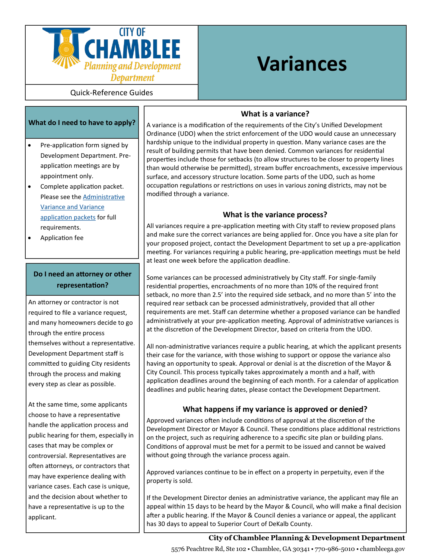

# **Variances**

Quick-Reference Guides

#### **What do I need to have to apply?**

- Pre-application form signed by Development Department. Preapplication meetings are by appointment only.
- Complete application packet. Please see the [Administrative](http://www.chambleega.com/152/Applications-and-Forms) [Variance and Variance](http://www.chambleega.com/152/Applications-and-Forms) [application packets](http://www.chambleega.com/152/Applications-and-Forms) for full requirements.
- Application fee

# **Do I need an attorney or other representation?**

An attorney or contractor is not required to file a variance request, and many homeowners decide to go through the entire process themselves without a representative. Development Department staff is committed to guiding City residents through the process and making every step as clear as possible.

At the same time, some applicants choose to have a representative handle the application process and public hearing for them, especially in cases that may be complex or controversial. Representatives are often attorneys, or contractors that may have experience dealing with variance cases. Each case is unique, and the decision about whether to have a representative is up to the applicant.

#### **What is a variance?**

A variance is a modification of the requirements of the City's Unified Development Ordinance (UDO) when the strict enforcement of the UDO would cause an unnecessary hardship unique to the individual property in question. Many variance cases are the result of building permits that have been denied. Common variances for residential properties include those for setbacks (to allow structures to be closer to property lines than would otherwise be permitted), stream buffer encroachments, excessive impervious surface, and accessory structure location. Some parts of the UDO, such as home occupation regulations or restrictions on uses in various zoning districts, may not be modified through a variance.

# **What is the variance process?**

All variances require a pre-application meeting with City staff to review proposed plans and make sure the correct variances are being applied for. Once you have a site plan for your proposed project, contact the Development Department to set up a pre-application meeting. For variances requiring a public hearing, pre-application meetings must be held at least one week before the application deadline.

Some variances can be processed administratively by City staff. For single-family residential properties, encroachments of no more than 10% of the required front setback, no more than 2.5' into the required side setback, and no more than 5' into the required rear setback can be processed administratively, provided that all other requirements are met. Staff can determine whether a proposed variance can be handled administratively at your pre-application meeting. Approval of administrative variances is at the discretion of the Development Director, based on criteria from the UDO.

All non-administrative variances require a public hearing, at which the applicant presents their case for the variance, with those wishing to support or oppose the variance also having an opportunity to speak. Approval or denial is at the discretion of the Mayor & City Council. This process typically takes approximately a month and a half, with application deadlines around the beginning of each month. For a calendar of application deadlines and public hearing dates, please contact the Development Department.

# **What happens if my variance is approved or denied?**

Approved variances often include conditions of approval at the discretion of the Development Director or Mayor & Council. These conditions place additional restrictions on the project, such as requiring adherence to a specific site plan or building plans. Conditions of approval must be met for a permit to be issued and cannot be waived without going through the variance process again.

Approved variances continue to be in effect on a property in perpetuity, even if the property is sold.

If the Development Director denies an administrative variance, the applicant may file an appeal within 15 days to be heard by the Mayor & Council, who will make a final decision after a public hearing. If the Mayor & Council denies a variance or appeal, the applicant has 30 days to appeal to Superior Court of DeKalb County.

### **City of Chamblee Planning & Development Department**

5576 Peachtree Rd, Ste 102 • Chamblee, GA 30341 • 770-986-5010 • chambleega.gov